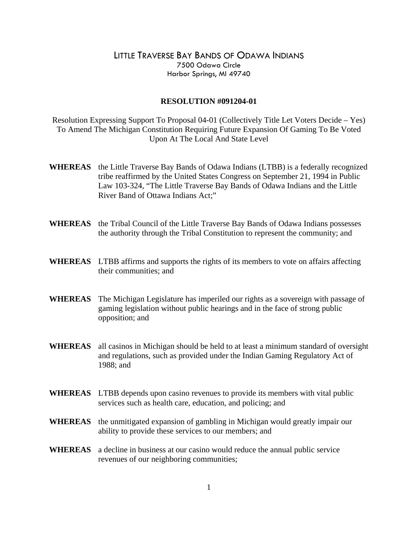## LITTLE TRAVERSE BAY BANDS OF ODAWA INDIANS 7500 Odawa Circle Harbor Springs, MI 49740

## **RESOLUTION #091204-01**

Resolution Expressing Support To Proposal 04-01 (Collectively Title Let Voters Decide – Yes) To Amend The Michigan Constitution Requiring Future Expansion Of Gaming To Be Voted Upon At The Local And State Level

- **WHEREAS** the Little Traverse Bay Bands of Odawa Indians (LTBB) is a federally recognized tribe reaffirmed by the United States Congress on September 21, 1994 in Public Law 103-324, "The Little Traverse Bay Bands of Odawa Indians and the Little River Band of Ottawa Indians Act;"
- **WHEREAS** the Tribal Council of the Little Traverse Bay Bands of Odawa Indians possesses the authority through the Tribal Constitution to represent the community; and
- **WHEREAS** LTBB affirms and supports the rights of its members to vote on affairs affecting their communities; and
- **WHEREAS** The Michigan Legislature has imperiled our rights as a sovereign with passage of gaming legislation without public hearings and in the face of strong public opposition; and
- **WHEREAS** all casinos in Michigan should be held to at least a minimum standard of oversight and regulations, such as provided under the Indian Gaming Regulatory Act of 1988; and
- **WHEREAS** LTBB depends upon casino revenues to provide its members with vital public services such as health care, education, and policing; and
- **WHEREAS** the unmitigated expansion of gambling in Michigan would greatly impair our ability to provide these services to our members; and
- **WHEREAS** a decline in business at our casino would reduce the annual public service revenues of our neighboring communities;